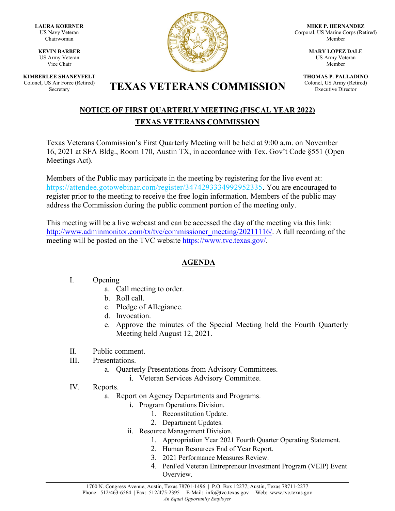**LAURA KOERNER** US Navy Veteran Chairwoman

**KEVIN BARBER** US Army Veteran Vice Chair

**KIMBERLEE SHANEYFELT** Colonel, US Air Force (Retired)



**MIKE P. HERNANDEZ** Corporal, US Marine Corps (Retired) Member

> **MARY LOPEZ DALE** US Army Veteran Member

**THOMAS P. PALLADINO** Colonel, US Army (Retired) Executive Director

# S Air Force (Retired) **TEXAS VETERANS COMMISSION**

## **NOTICE OF FIRST QUARTERLY MEETING (FISCAL YEAR 2022) TEXAS VETERANS COMMISSION**

Texas Veterans Commission's First Quarterly Meeting will be held at 9:00 a.m. on November 16, 2021 at SFA Bldg., Room 170, Austin TX, in accordance with Tex. Gov't Code §551 (Open Meetings Act).

Members of the Public may participate in the meeting by registering for the live event at: [https://attendee.gotowebinar.com/register/3474293334992952335.](https://attendee.gotowebinar.com/register/3474293334992952335) You are encouraged to register prior to the meeting to receive the free login information. Members of the public may address the Commission during the public comment portion of the meeting only.

This meeting will be a live webcast and can be accessed the day of the meeting via this link: [http://www.adminmonitor.com/tx/tvc/commissioner\\_meeting/20211116/.](https://nam11.safelinks.protection.outlook.com/?url=http%3A%2F%2Fwww.adminmonitor.com%2Ftx%2Ftvc%2Fcommissioner_meeting%2F20211116%2F&data=04%7C01%7Cgabriel.torres%40tvc.texas.gov%7C7071f3655de94f48252008d9927027cf%7C5935a12b0126410885c8167d8c3fda6e%7C0%7C0%7C637701832702678969%7CUnknown%7CTWFpbGZsb3d8eyJWIjoiMC4wLjAwMDAiLCJQIjoiV2luMzIiLCJBTiI6Ik1haWwiLCJXVCI6Mn0%3D%7C1000&sdata=fxaFwygfiLj8%2FuJx1idtp3dA48qDL%2BJobBsnJShW0kI%3D&reserved=0) A full recording of the meeting will be posted on the TVC website [https://www.tvc.texas.gov/.](https://www.tvc.texas.gov/)

## **AGENDA**

### I. Opening

- a. Call meeting to order.
- b. Roll call.
- c. Pledge of Allegiance.
- d. Invocation.
- e. Approve the minutes of the Special Meeting held the Fourth Quarterly Meeting held August 12, 2021.
- II. Public comment.
- III. Presentations.
	- a. Quarterly Presentations from Advisory Committees.
		- i. Veteran Services Advisory Committee.
- IV. Reports.
	- a. Report on Agency Departments and Programs.
		- i. Program Operations Division.
			- 1. Reconstitution Update.
			- 2. Department Updates.
			- ii. Resource Management Division.
				- 1. Appropriation Year 2021 Fourth Quarter Operating Statement.
				- 2. Human Resources End of Year Report.
				- 3. 2021 Performance Measures Review.
				- 4. PenFed Veteran Entrepreneur Investment Program (VEIP) Event Overview.